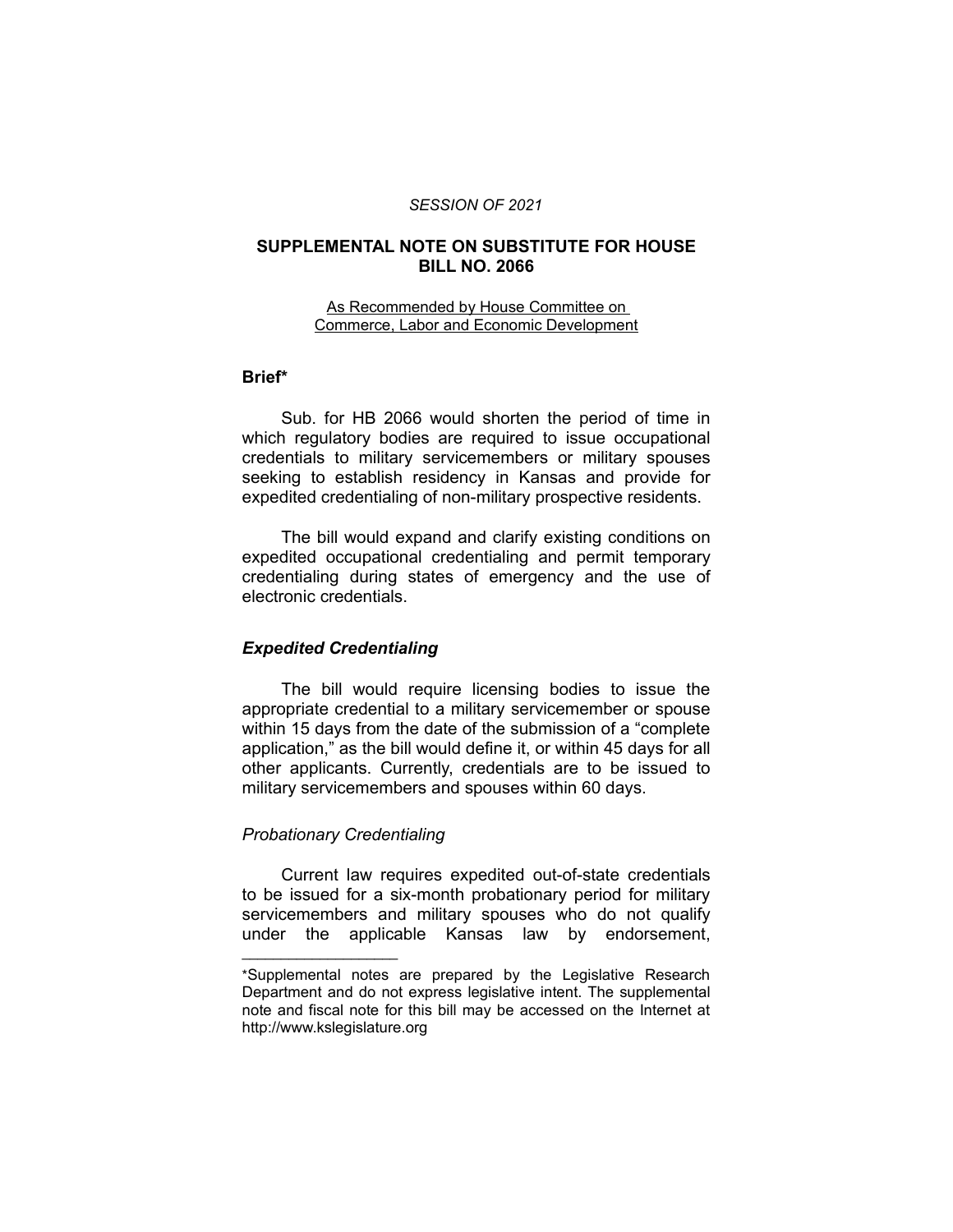#### *SESSION OF 2021*

### **SUPPLEMENTAL NOTE ON SUBSTITUTE FOR HOUSE BILL NO. 2066**

#### As Recommended by House Committee on Commerce, Labor and Economic Development

## **Brief\***

Sub. for HB 2066 would shorten the period of time in which regulatory bodies are required to issue occupational credentials to military servicemembers or military spouses seeking to establish residency in Kansas and provide for expedited credentialing of non-military prospective residents.

The bill would expand and clarify existing conditions on expedited occupational credentialing and permit temporary credentialing during states of emergency and the use of electronic credentials.

#### *Expedited Credentialing*

The bill would require licensing bodies to issue the appropriate credential to a military servicemember or spouse within 15 days from the date of the submission of a "complete application," as the bill would define it, or within 45 days for all other applicants. Currently, credentials are to be issued to military servicemembers and spouses within 60 days.

### *Probationary Credentialing*

 $\overline{\phantom{a}}$  , where  $\overline{\phantom{a}}$  , where  $\overline{\phantom{a}}$ 

Current law requires expedited out-of-state credentials to be issued for a six-month probationary period for military servicemembers and military spouses who do not qualify under the applicable Kansas law by endorsement,

<sup>\*</sup>Supplemental notes are prepared by the Legislative Research Department and do not express legislative intent. The supplemental note and fiscal note for this bill may be accessed on the Internet at http://www.kslegislature.org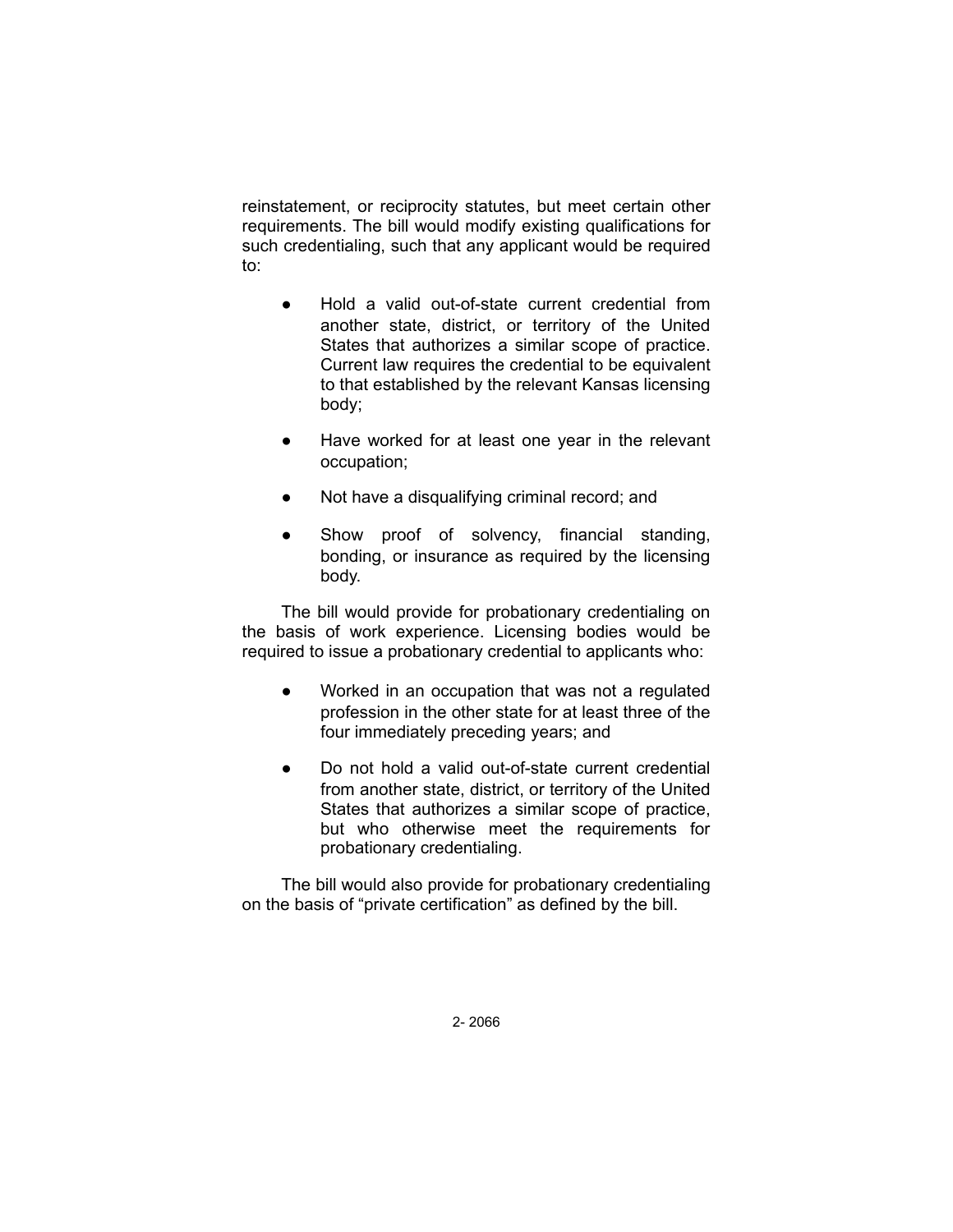reinstatement, or reciprocity statutes, but meet certain other requirements. The bill would modify existing qualifications for such credentialing, such that any applicant would be required to:

- Hold a valid out-of-state current credential from another state, district, or territory of the United States that authorizes a similar scope of practice. Current law requires the credential to be equivalent to that established by the relevant Kansas licensing body;
- Have worked for at least one year in the relevant occupation;
- Not have a disqualifying criminal record; and
- Show proof of solvency, financial standing, bonding, or insurance as required by the licensing body.

The bill would provide for probationary credentialing on the basis of work experience. Licensing bodies would be required to issue a probationary credential to applicants who:

- Worked in an occupation that was not a regulated profession in the other state for at least three of the four immediately preceding years; and
- Do not hold a valid out-of-state current credential from another state, district, or territory of the United States that authorizes a similar scope of practice, but who otherwise meet the requirements for probationary credentialing.

The bill would also provide for probationary credentialing on the basis of "private certification" as defined by the bill.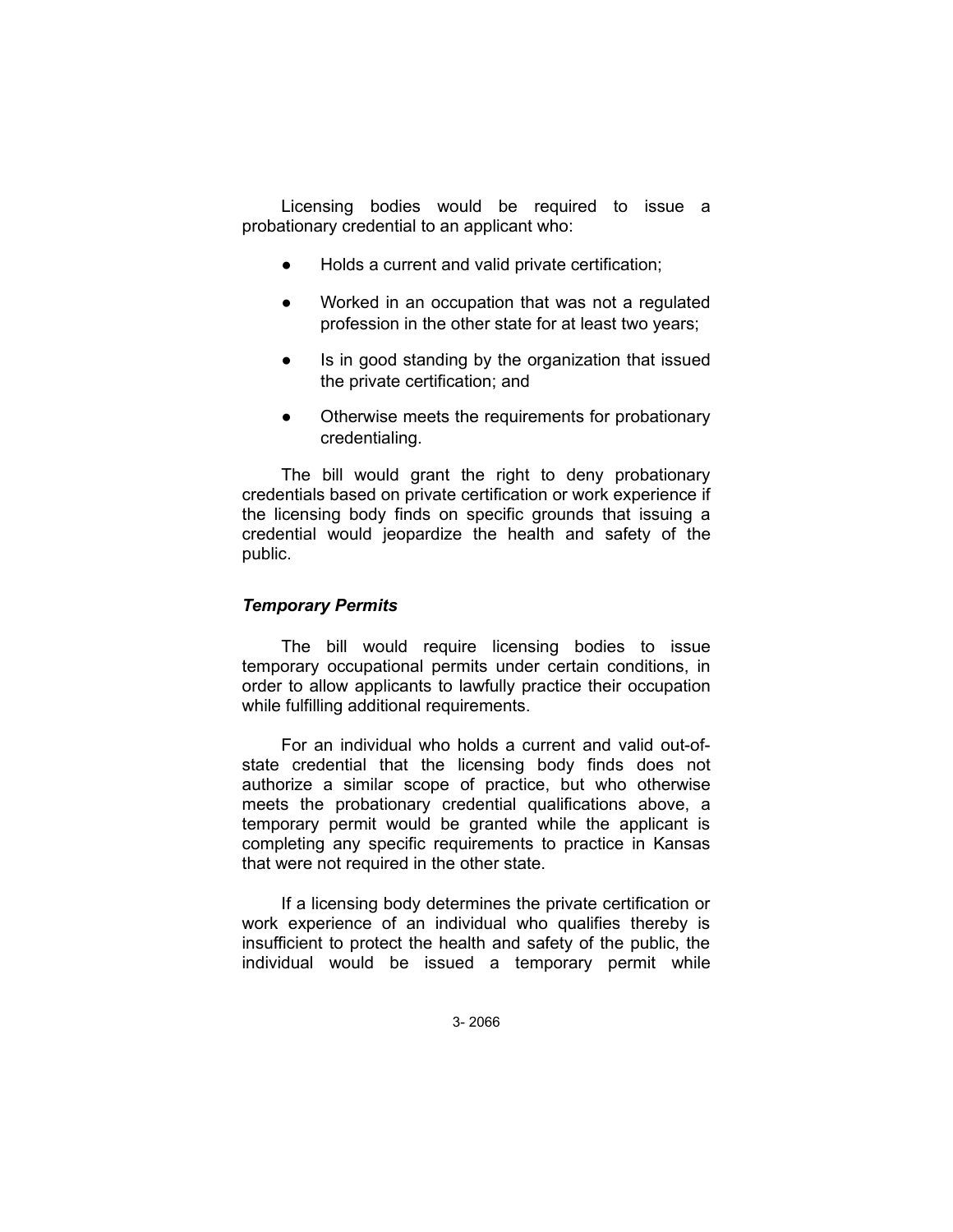Licensing bodies would be required to issue a probationary credential to an applicant who:

- Holds a current and valid private certification;
- Worked in an occupation that was not a regulated profession in the other state for at least two years;
- Is in good standing by the organization that issued the private certification; and
- Otherwise meets the requirements for probationary credentialing.

The bill would grant the right to deny probationary credentials based on private certification or work experience if the licensing body finds on specific grounds that issuing a credential would jeopardize the health and safety of the public.

### *Temporary Permits*

The bill would require licensing bodies to issue temporary occupational permits under certain conditions, in order to allow applicants to lawfully practice their occupation while fulfilling additional requirements.

For an individual who holds a current and valid out-ofstate credential that the licensing body finds does not authorize a similar scope of practice, but who otherwise meets the probationary credential qualifications above, a temporary permit would be granted while the applicant is completing any specific requirements to practice in Kansas that were not required in the other state.

If a licensing body determines the private certification or work experience of an individual who qualifies thereby is insufficient to protect the health and safety of the public, the individual would be issued a temporary permit while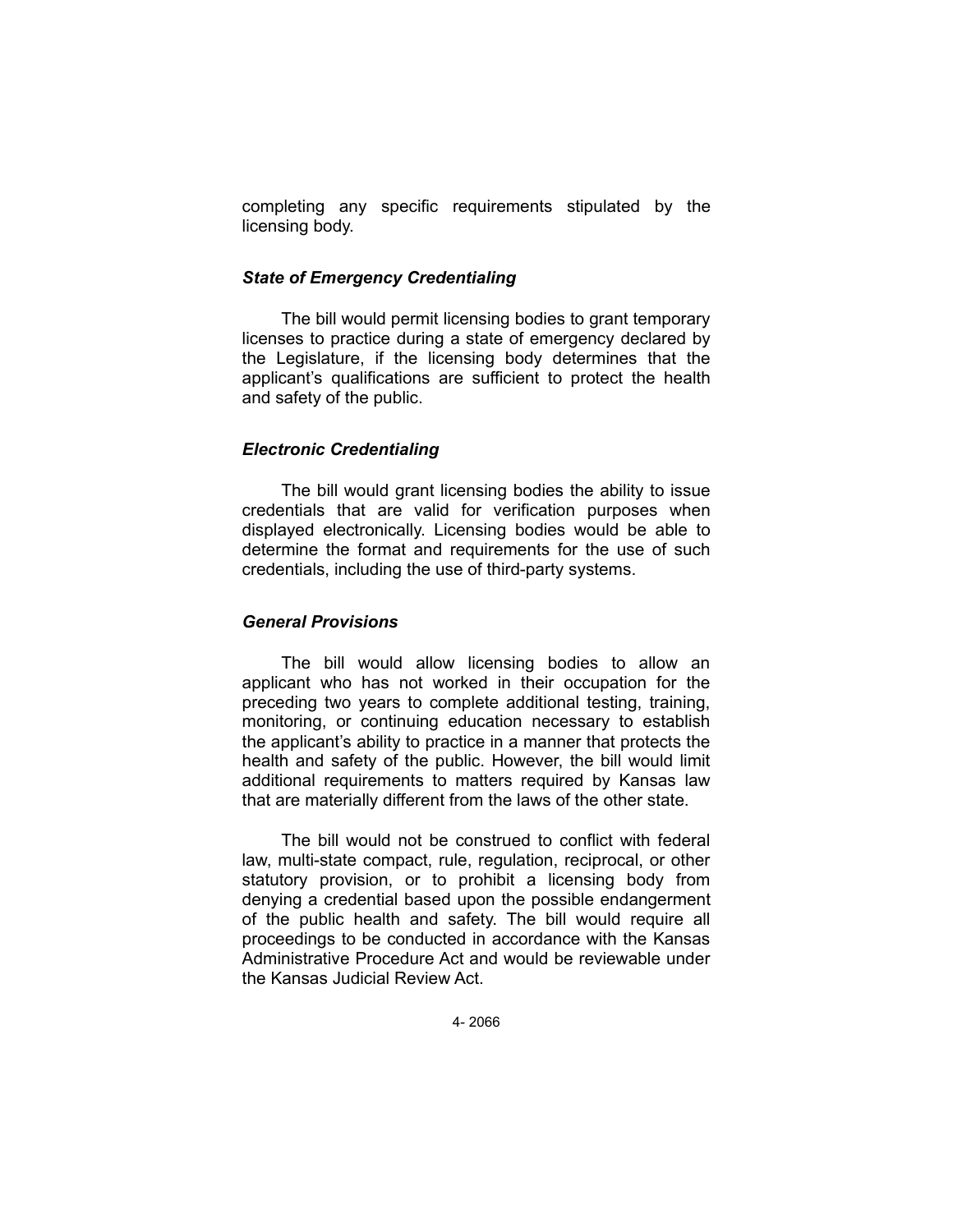completing any specific requirements stipulated by the licensing body.

### *State of Emergency Credentialing*

The bill would permit licensing bodies to grant temporary licenses to practice during a state of emergency declared by the Legislature, if the licensing body determines that the applicant's qualifications are sufficient to protect the health and safety of the public.

### *Electronic Credentialing*

The bill would grant licensing bodies the ability to issue credentials that are valid for verification purposes when displayed electronically. Licensing bodies would be able to determine the format and requirements for the use of such credentials, including the use of third-party systems.

### *General Provisions*

The bill would allow licensing bodies to allow an applicant who has not worked in their occupation for the preceding two years to complete additional testing, training, monitoring, or continuing education necessary to establish the applicant's ability to practice in a manner that protects the health and safety of the public. However, the bill would limit additional requirements to matters required by Kansas law that are materially different from the laws of the other state.

The bill would not be construed to conflict with federal law, multi-state compact, rule, regulation, reciprocal, or other statutory provision, or to prohibit a licensing body from denying a credential based upon the possible endangerment of the public health and safety. The bill would require all proceedings to be conducted in accordance with the Kansas Administrative Procedure Act and would be reviewable under the Kansas Judicial Review Act.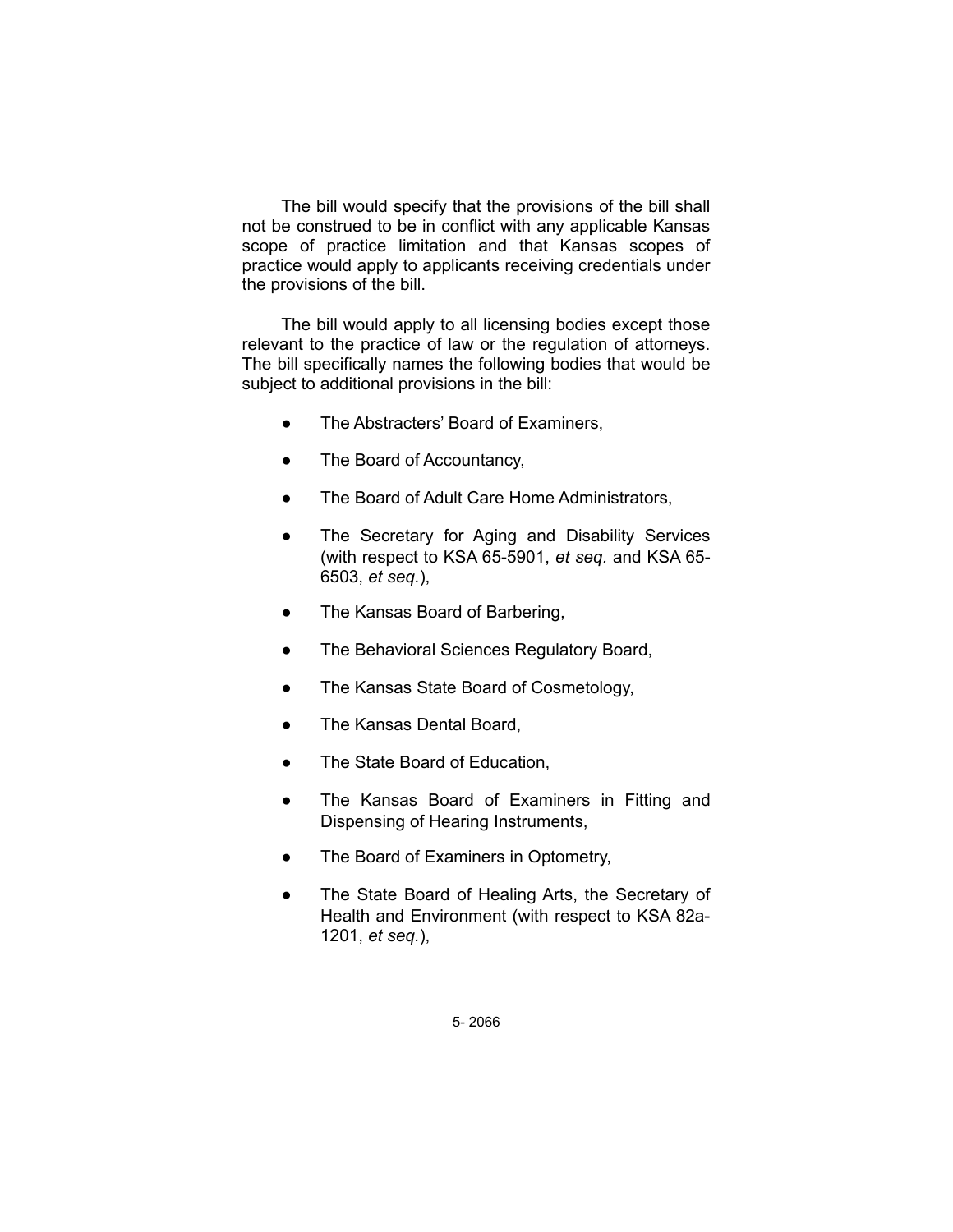The bill would specify that the provisions of the bill shall not be construed to be in conflict with any applicable Kansas scope of practice limitation and that Kansas scopes of practice would apply to applicants receiving credentials under the provisions of the bill.

The bill would apply to all licensing bodies except those relevant to the practice of law or the regulation of attorneys. The bill specifically names the following bodies that would be subject to additional provisions in the bill:

- The Abstracters' Board of Examiners,
- The Board of Accountancy,
- The Board of Adult Care Home Administrators,
- The Secretary for Aging and Disability Services (with respect to KSA 65-5901, *et seq.* and KSA 65- 6503, *et seq.*),
- The Kansas Board of Barbering,
- The Behavioral Sciences Regulatory Board,
- The Kansas State Board of Cosmetology,
- The Kansas Dental Board,
- The State Board of Education,
- The Kansas Board of Examiners in Fitting and Dispensing of Hearing Instruments,
- The Board of Examiners in Optometry,
- The State Board of Healing Arts, the Secretary of Health and Environment (with respect to KSA 82a-1201, *et seq.*),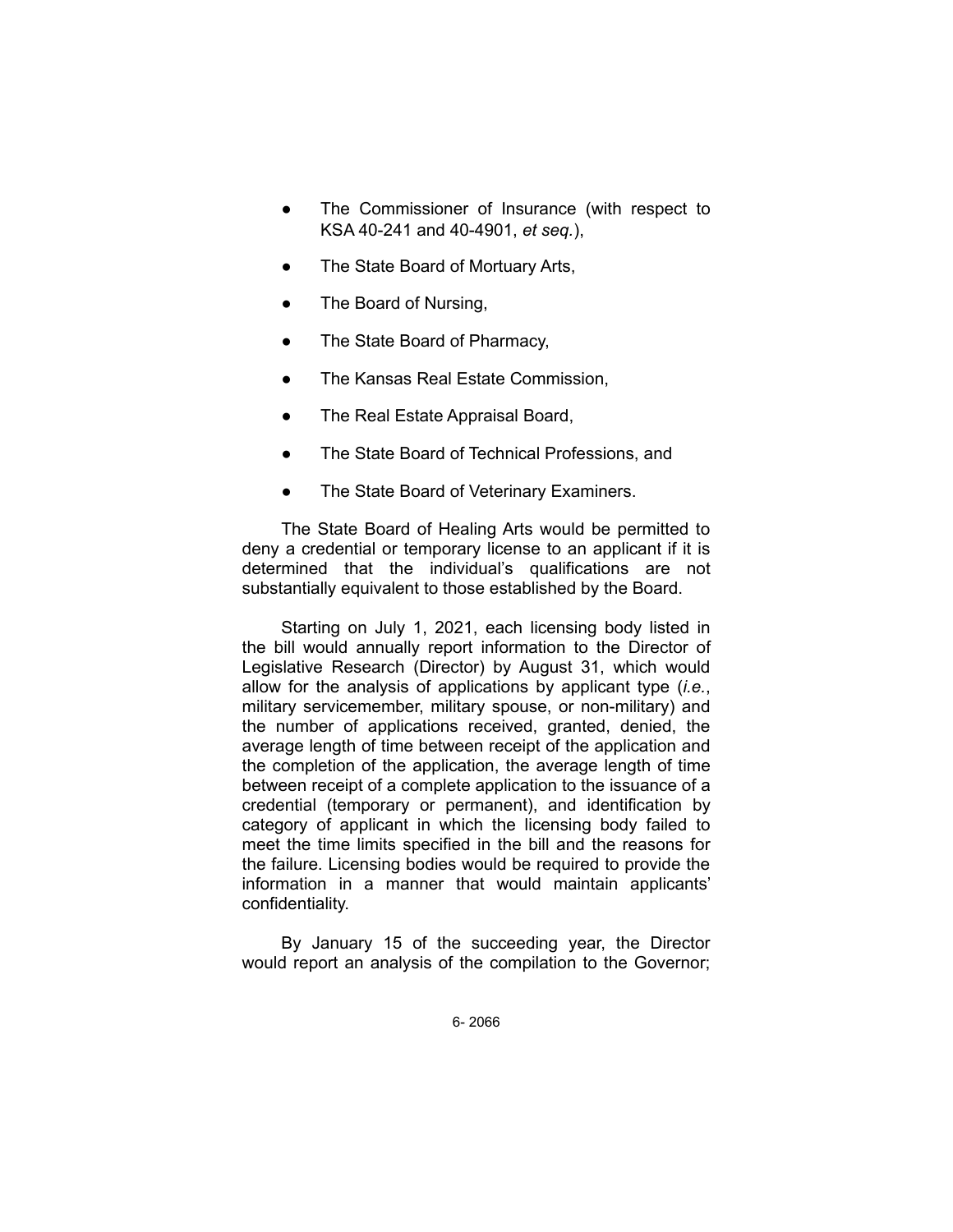- The Commissioner of Insurance (with respect to KSA 40-241 and 40-4901, *et seq.*),
- The State Board of Mortuary Arts,
- The Board of Nursing,
- The State Board of Pharmacy,
- The Kansas Real Estate Commission,
- The Real Estate Appraisal Board,
- The State Board of Technical Professions, and
- The State Board of Veterinary Examiners.

The State Board of Healing Arts would be permitted to deny a credential or temporary license to an applicant if it is determined that the individual's qualifications are not substantially equivalent to those established by the Board.

Starting on July 1, 2021, each licensing body listed in the bill would annually report information to the Director of Legislative Research (Director) by August 31, which would allow for the analysis of applications by applicant type (*i.e.*, military servicemember, military spouse, or non-military) and the number of applications received, granted, denied, the average length of time between receipt of the application and the completion of the application, the average length of time between receipt of a complete application to the issuance of a credential (temporary or permanent), and identification by category of applicant in which the licensing body failed to meet the time limits specified in the bill and the reasons for the failure. Licensing bodies would be required to provide the information in a manner that would maintain applicants' confidentiality.

By January 15 of the succeeding year, the Director would report an analysis of the compilation to the Governor;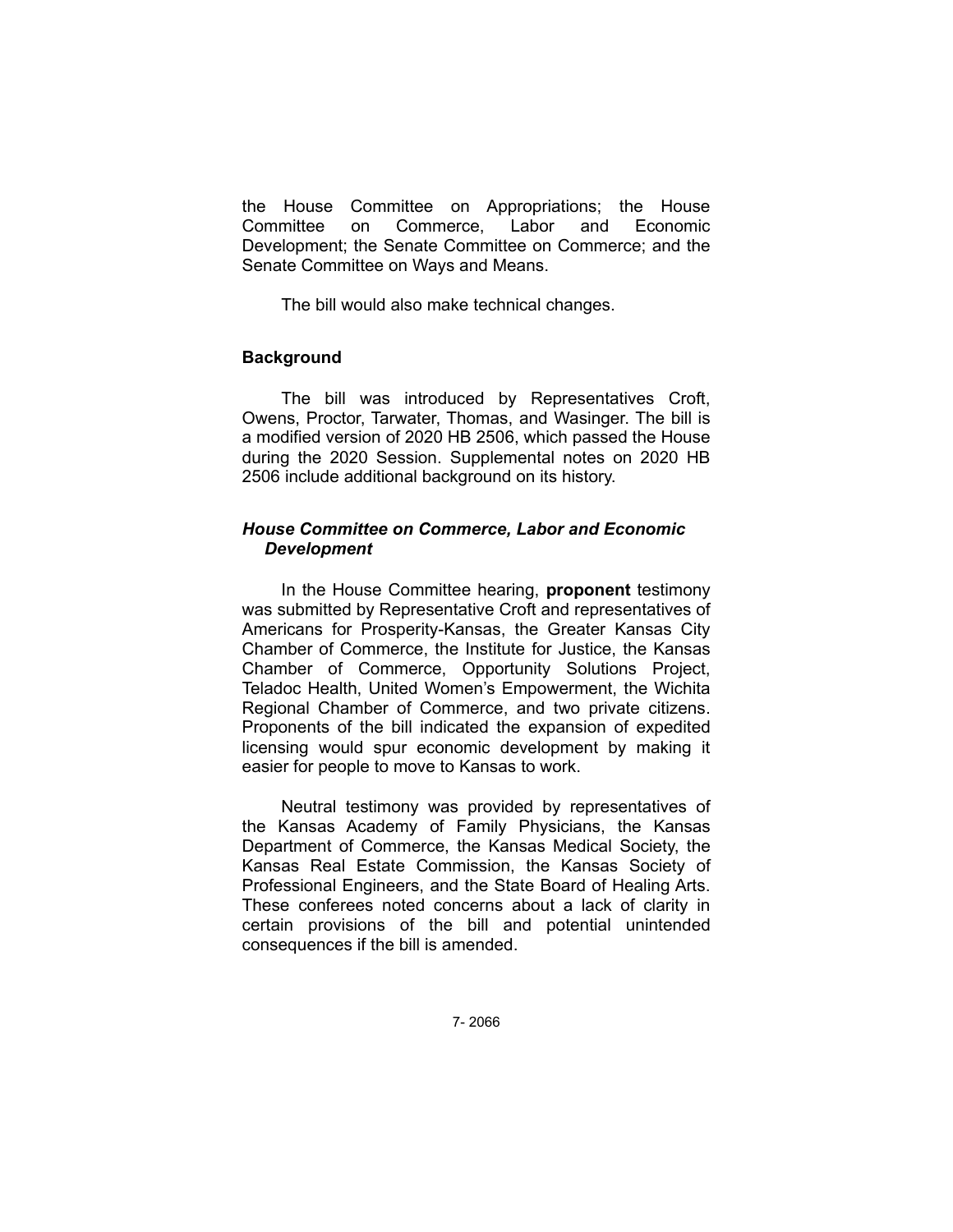the House Committee on Appropriations; the House Committee on Commerce, Labor and Economic Development; the Senate Committee on Commerce; and the Senate Committee on Ways and Means.

The bill would also make technical changes.

#### **Background**

The bill was introduced by Representatives Croft, Owens, Proctor, Tarwater, Thomas, and Wasinger. The bill is a modified version of 2020 HB 2506, which passed the House during the 2020 Session. Supplemental notes on 2020 HB 2506 include additional background on its history.

### *House Committee on Commerce, Labor and Economic Development*

In the House Committee hearing, **proponent** testimony was submitted by Representative Croft and representatives of Americans for Prosperity-Kansas, the Greater Kansas City Chamber of Commerce, the Institute for Justice, the Kansas Chamber of Commerce, Opportunity Solutions Project, Teladoc Health, United Women's Empowerment, the Wichita Regional Chamber of Commerce, and two private citizens. Proponents of the bill indicated the expansion of expedited licensing would spur economic development by making it easier for people to move to Kansas to work.

Neutral testimony was provided by representatives of the Kansas Academy of Family Physicians, the Kansas Department of Commerce, the Kansas Medical Society, the Kansas Real Estate Commission, the Kansas Society of Professional Engineers, and the State Board of Healing Arts. These conferees noted concerns about a lack of clarity in certain provisions of the bill and potential unintended consequences if the bill is amended.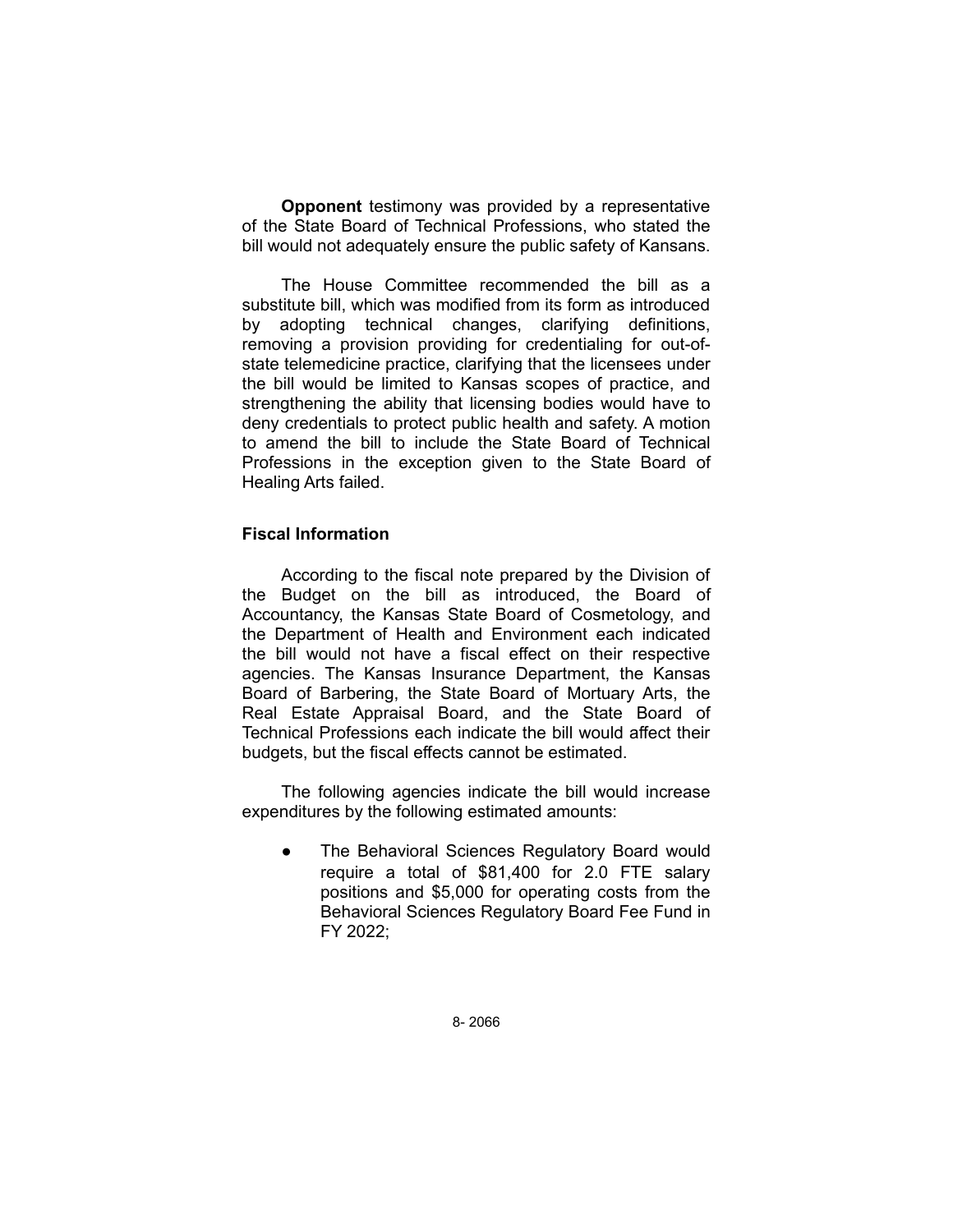**Opponent** testimony was provided by a representative of the State Board of Technical Professions, who stated the bill would not adequately ensure the public safety of Kansans.

The House Committee recommended the bill as a substitute bill, which was modified from its form as introduced by adopting technical changes, clarifying definitions, removing a provision providing for credentialing for out-ofstate telemedicine practice, clarifying that the licensees under the bill would be limited to Kansas scopes of practice, and strengthening the ability that licensing bodies would have to deny credentials to protect public health and safety. A motion to amend the bill to include the State Board of Technical Professions in the exception given to the State Board of Healing Arts failed.

# **Fiscal Information**

According to the fiscal note prepared by the Division of the Budget on the bill as introduced, the Board of Accountancy, the Kansas State Board of Cosmetology, and the Department of Health and Environment each indicated the bill would not have a fiscal effect on their respective agencies. The Kansas Insurance Department, the Kansas Board of Barbering, the State Board of Mortuary Arts, the Real Estate Appraisal Board, and the State Board of Technical Professions each indicate the bill would affect their budgets, but the fiscal effects cannot be estimated.

The following agencies indicate the bill would increase expenditures by the following estimated amounts:

The Behavioral Sciences Regulatory Board would require a total of \$81,400 for 2.0 FTE salary positions and \$5,000 for operating costs from the Behavioral Sciences Regulatory Board Fee Fund in FY 2022;